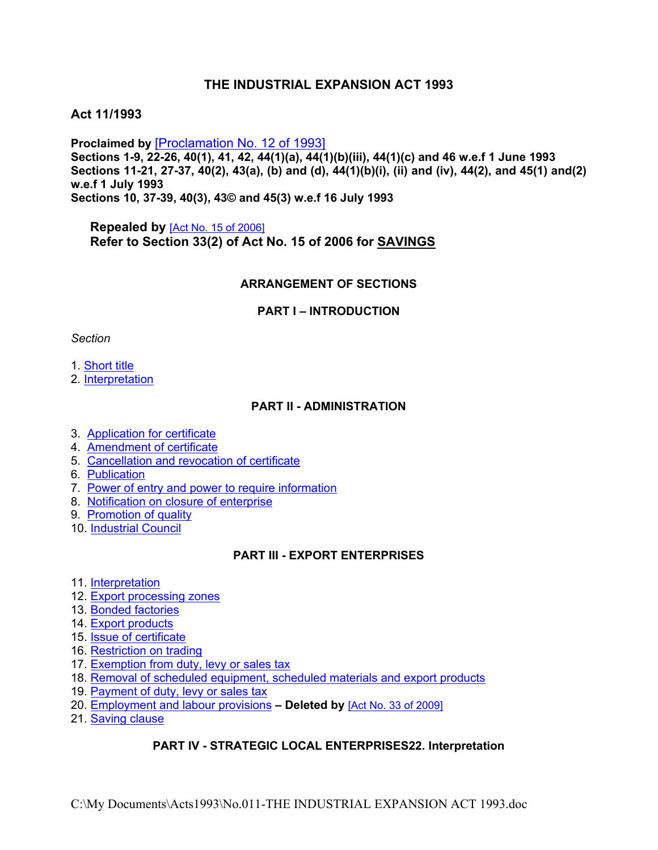# **THE INDUSTRIAL EXPANSION ACT 1993**

# **Act 11/1993**

**Proclaimed by** [\[Proclamation](https://supremecourt.govmu.org/_layouts/CLIS.DMS/search/searchdocumentbykey.aspx?ID=%5BProclamation%20No.%2012%20of%201993%5D&list=Legislations) No. 12 of 1993] **Sections 1-9, 22-26, 40(1), 41, 42, 44(1)(a), 44(1)(b)(iii), 44(1)(c) and 46 w.e.f 1 June 1993 Sections 11-21, 27-37, 40(2), 43(a), (b) and (d), 44(1)(b)(i), (ii) and (iv), 44(2), and 45(1) and(2) w.e.f 1 July 1993 Sections 10, 37-39, 40(3), 43© and 45(3) w.e.f 16 July 1993**

**Repealed by** [Act No. 15 of [2006\]](https://supremecourt.govmu.org/_layouts/CLIS.DMS/search/searchdocumentbykey.aspx?ID=%5BAct%20No.%2015%20of%202006%5D&list=Legislations) **Refer to Section 33(2) of Act No. 15 of 2006 for SAVINGS**

#### **ARRANGEMENT OF SECTIONS**

#### **PART I – INTRODUCTION**

#### *Section*

#### 1. [Short](#page-1-0) title

2. [Interpretation](#page-2-0)

#### **PART II - ADMINISTRATION**

- 3. [Application](#page-4-0) for certificate
- 4. Amendment of certificate
- 5. Cancellation and revocation of certificate
- 6. Publication
- 7. Power of entry and power to require [information](#page-4-1)
- 8. Notification on closure of enterprise
- 9. [Promotion](#page-5-0) of quality
- 10. [Industrial](#page-5-1) Council

### **PART III - EXPORT ENTERPRISES**

- 11. [Interpretation](#page-7-0)
- 12. Export [processing](#page-7-1) zones
- 13. Bonded [factories](#page-7-2)
- 14. Export products
- 15. Issue of certificate
- 16. [Restriction](#page-7-3) on trading
- 17. [Exemption](#page-8-0) from duty, levy or sales tax
- 18. Removal of scheduled [equipment,](#page-8-1) scheduled materials and export products
- 19. [Payment](#page-9-0) of duty, levy or sales tax
- 20. [Employment](#page-9-0) and labour provisions **– Deleted by** [Act No. 33 of [2009\]](https://supremecourt.govmu.org/_layouts/CLIS.DMS/search/searchdocumentbykey.aspx?ID=%5BAct%20No.%2033%20of%202009%5D&list=Legislations)
- 21. [Saving](#page-9-1) clause

### **PART IV - STRATEGIC LOCAL ENTERPRISES22. Interpretation**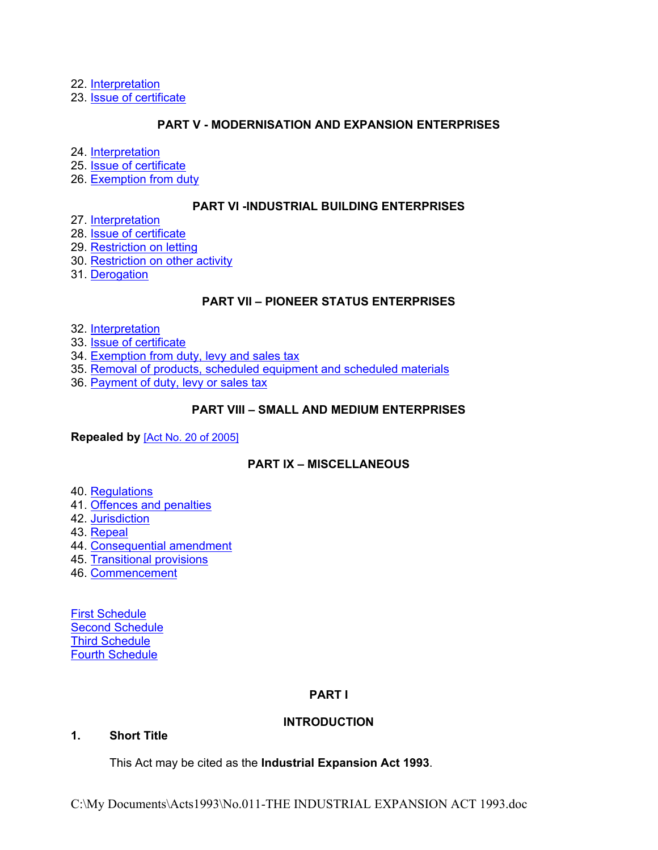22. [Interpretation](#page-9-2)

23. Issue of certificate

### **PART V - MODERNISATION AND EXPANSION ENTERPRISES**

24. [Interpretation](#page-10-0)

25. Issue of certificate

26. [Exemption](#page-10-1) from duty

#### **PART VI -INDUSTRIAL BUILDING ENTERPRISES**

27. [Interpretation](#page-10-2)

28. Issue of certificate

29. [Restriction](#page-11-0) on letting

30. [Restriction](#page-11-1) on other activity

31. [Derogation](#page-11-2)

### **PART VII – PIONEER STATUS ENTERPRISES**

32. [Interpretation](#page-11-3)

33. Issue of certificate

34. [Exemption](#page-12-0) from duty, levy and sales tax

35. Removal of products, scheduled [equipment](#page-12-1) and scheduled materials

36. [Payment](#page-12-2) of duty, levy or sales tax

### **PART VIII – SMALL AND MEDIUM ENTERPRISES**

**Repealed by** [Act No. 20 of [2005\]](https://supremecourt.govmu.org/_layouts/CLIS.DMS/search/searchdocumentbykey.aspx?ID=%5BAct%20No.%2020%20of%202005%5D&list=Legislations)

# **PART IX – MISCELLANEOUS**

40. [Regulations](#page-13-0)

- 41. Offences and [penalties](#page-13-1)
- 42. [Jurisdiction](#page-14-0)

43. [Repeal](#page-14-1)

44. [Consequential](#page-15-0) amendment

- 45. [Transitional](#page-16-0) provisions
- 46. [Commencement](#page-17-0)

First [Schedule](#page-17-1) Second [Schedule](#page-17-2) Third [Schedule](#page-18-0) Fourth [Schedule](#page-19-0)

#### **PART I**

### **INTRODUCTION**

### **1. Short Title**

<span id="page-1-0"></span>This Act may be cited as the **Industrial Expansion Act 1993**.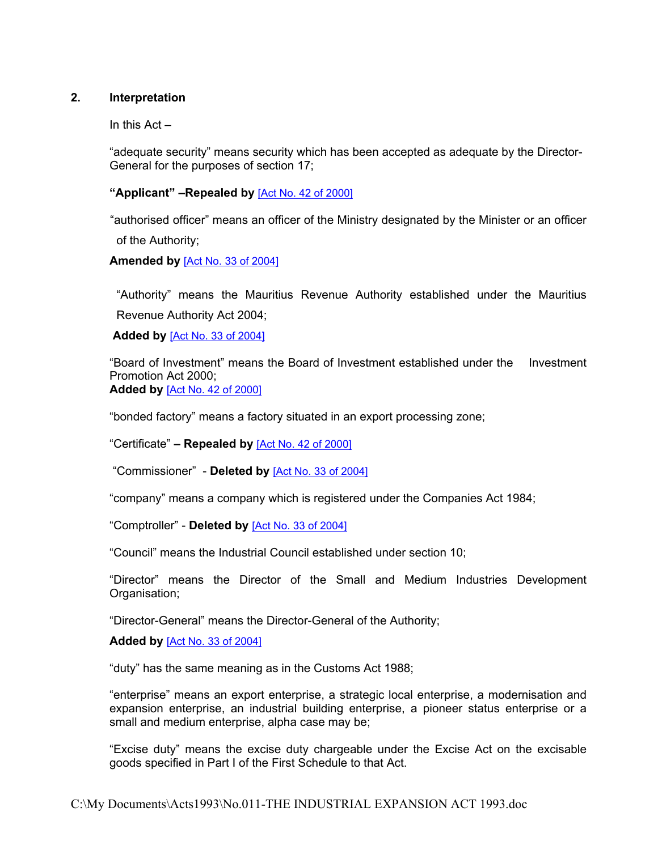## **2. Interpretation**

<span id="page-2-0"></span>In this Act –

"adequate security" means security which has been accepted as adequate by the Director-General for the purposes of section 17;

**"Applicant" –Repealed by** [Act No. 42 of [2000\]](https://supremecourt.govmu.org/_layouts/CLIS.DMS/search/searchdocumentbykey.aspx?ID=%5BAct%20No.%2042%20of%202000%5D&list=Legislations)

 "authorised officer" means an officer of the Ministry designated by the Minister or an officer of the Authority;

**Amended by** [Act No. 33 of [2004\]](https://supremecourt.govmu.org/_layouts/CLIS.DMS/search/searchdocumentbykey.aspx?ID=%5BAct%20No.%2033%20of%202004%5D&list=Legislations)

"Authority" means the Mauritius Revenue Authority established under the Mauritius Revenue Authority Act 2004;

**Added by** [Act No. 33 of [2004\]](https://supremecourt.govmu.org/_layouts/CLIS.DMS/search/searchdocumentbykey.aspx?ID=%5BAct%20No.%2033%20of%202004%5D&list=Legislations)

"Board of Investment" means the Board of Investment established under the Investment Promotion Act 2000; **Added by** [Act No. 42 of [2000\]](https://supremecourt.govmu.org/_layouts/CLIS.DMS/search/searchdocumentbykey.aspx?ID=%5BAct%20No.%2042%20of%202000%5D&list=Legislations)

"bonded factory" means a factory situated in an export processing zone;

"Certificate" **– Repealed by** [Act No. 42 of [2000\]](https://supremecourt.govmu.org/_layouts/CLIS.DMS/search/searchdocumentbykey.aspx?ID=%5BAct%20No.%2042%20of%202000%5D&list=Legislations)

"Commissioner" - **Deleted by** [Act No. 33 of [2004\]](https://supremecourt.govmu.org/_layouts/CLIS.DMS/search/searchdocumentbykey.aspx?ID=%5BAct%20No.%2033%20of%202004%5D&list=Legislations)

"company" means a company which is registered under the Companies Act 1984;

"Comptroller" - **Deleted by** [Act No. 33 of [2004\]](https://supremecourt.govmu.org/_layouts/CLIS.DMS/search/searchdocumentbykey.aspx?ID=%5BAct%20No.%2033%20of%202004%5D&list=Legislations)

"Council" means the Industrial Council established under section 10;

"Director" means the Director of the Small and Medium Industries Development Organisation;

"Director-General" means the Director-General of the Authority;

**Added by** [Act No. 33 of [2004\]](https://supremecourt.govmu.org/_layouts/CLIS.DMS/search/searchdocumentbykey.aspx?ID=%5BAct%20No.%2033%20of%202004%5D&list=Legislations)

"duty" has the same meaning as in the Customs Act 1988;

"enterprise" means an export enterprise, a strategic local enterprise, a modernisation and expansion enterprise, an industrial building enterprise, a pioneer status enterprise or a small and medium enterprise, alpha case may be;

"Excise duty" means the excise duty chargeable under the Excise Act on the excisable goods specified in Part I of the First Schedule to that Act.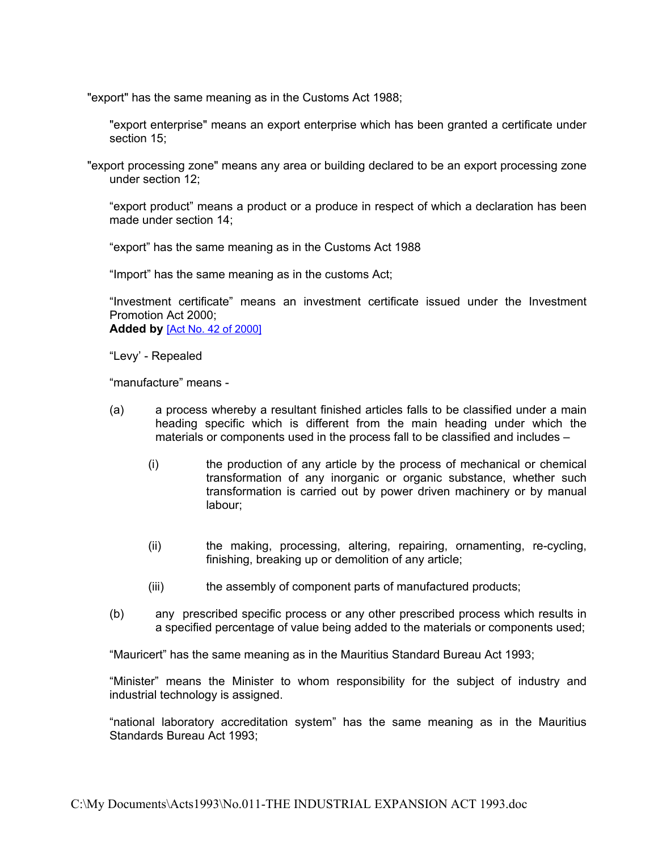"export" has the same meaning as in the Customs Act 1988;

"export enterprise" means an export enterprise which has been granted a certificate under section 15;

 "export processing zone" means any area or building declared to be an export processing zone under section 12;

"export product" means a product or a produce in respect of which a declaration has been made under section 14;

"export" has the same meaning as in the Customs Act 1988

"Import" has the same meaning as in the customs Act;

"Investment certificate" means an investment certificate issued under the Investment Promotion Act 2000; **Added by** [Act No. 42 of [2000\]](https://supremecourt.govmu.org/_layouts/CLIS.DMS/search/searchdocumentbykey.aspx?ID=%5BAct%20No.%2042%20of%202000%5D&list=Legislations)

"Levy' - Repealed

"manufacture" means -

- (a) a process whereby a resultant finished articles falls to be classified under a main heading specific which is different from the main heading under which the materials or components used in the process fall to be classified and includes –
	- (i) the production of any article by the process of mechanical or chemical transformation of any inorganic or organic substance, whether such transformation is carried out by power driven machinery or by manual labour;
	- (ii) the making, processing, altering, repairing, ornamenting, re-cycling, finishing, breaking up or demolition of any article;
	- (iii) the assembly of component parts of manufactured products;
- (b) any prescribed specific process or any other prescribed process which results in a specified percentage of value being added to the materials or components used;

"Mauricert" has the same meaning as in the Mauritius Standard Bureau Act 1993;

"Minister" means the Minister to whom responsibility for the subject of industry and industrial technology is assigned.

"national laboratory accreditation system" has the same meaning as in the Mauritius Standards Bureau Act 1993;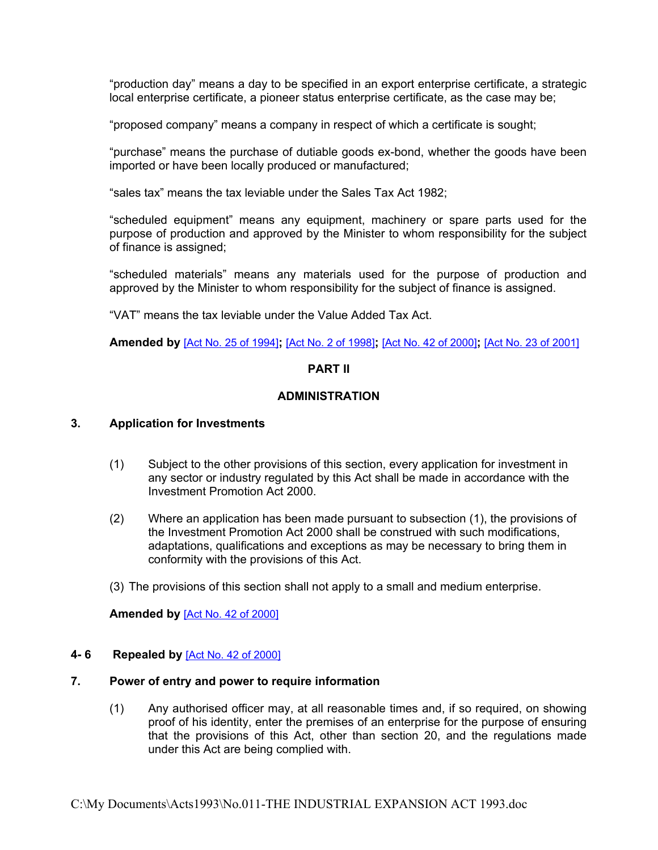"production day" means a day to be specified in an export enterprise certificate, a strategic local enterprise certificate, a pioneer status enterprise certificate, as the case may be;

"proposed company" means a company in respect of which a certificate is sought;

"purchase" means the purchase of dutiable goods ex-bond, whether the goods have been imported or have been locally produced or manufactured;

"sales tax" means the tax leviable under the Sales Tax Act 1982;

"scheduled equipment" means any equipment, machinery or spare parts used for the purpose of production and approved by the Minister to whom responsibility for the subject of finance is assigned;

"scheduled materials" means any materials used for the purpose of production and approved by the Minister to whom responsibility for the subject of finance is assigned.

"VAT" means the tax leviable under the Value Added Tax Act.

**Amended by** [Act No. 25 of [1994\]](https://supremecourt.govmu.org/_layouts/CLIS.DMS/search/searchdocumentbykey.aspx?ID=%5BAct%20No.%2025%20of%201994%5D&list=Legislations)**;** [Act No. 2 of [1998\]](https://supremecourt.govmu.org/_layouts/CLIS.DMS/search/searchdocumentbykey.aspx?ID=%5BAct%20No.%202%20of%201998%5D&list=Legislations)**;** [Act No. 42 of [2000\]](https://supremecourt.govmu.org/_layouts/CLIS.DMS/search/searchdocumentbykey.aspx?ID=%5BAct%20No.%2042%20of%202000%5D&list=Legislations)**;** [Act No. 23 of [2001\]](https://supremecourt.govmu.org/_layouts/CLIS.DMS/search/searchdocumentbykey.aspx?ID=%5BAct%20No.%2023%20of%202001%5D&list=Legislations)

#### **PART II**

### <span id="page-4-0"></span>**ADMINISTRATION**

#### **3. Application for Investments**

- (1) Subject to the other provisions of this section, every application for investment in any sector or industry regulated by this Act shall be made in accordance with the Investment Promotion Act 2000.
- (2) Where an application has been made pursuant to subsection (1), the provisions of the Investment Promotion Act 2000 shall be construed with such modifications, adaptations, qualifications and exceptions as may be necessary to bring them in conformity with the provisions of this Act.
- (3) The provisions of this section shall not apply to a small and medium enterprise.

**Amended by** [Act No. 42 of [2000\]](https://supremecourt.govmu.org/_layouts/CLIS.DMS/search/searchdocumentbykey.aspx?ID=%5BAct%20No.%2042%20of%202000%5D&list=Legislations)

#### **4- 6 Repealed by** [Act No. 42 of [2000\]](https://supremecourt.govmu.org/_layouts/CLIS.DMS/search/searchdocumentbykey.aspx?ID=%5BAct%20No.%2042%20of%202000%5D&list=Legislations)

#### **7. Power of entry and power to require information**

<span id="page-4-1"></span>(1) Any authorised officer may, at all reasonable times and, if so required, on showing proof of his identity, enter the premises of an enterprise for the purpose of ensuring that the provisions of this Act, other than section 20, and the regulations made under this Act are being complied with.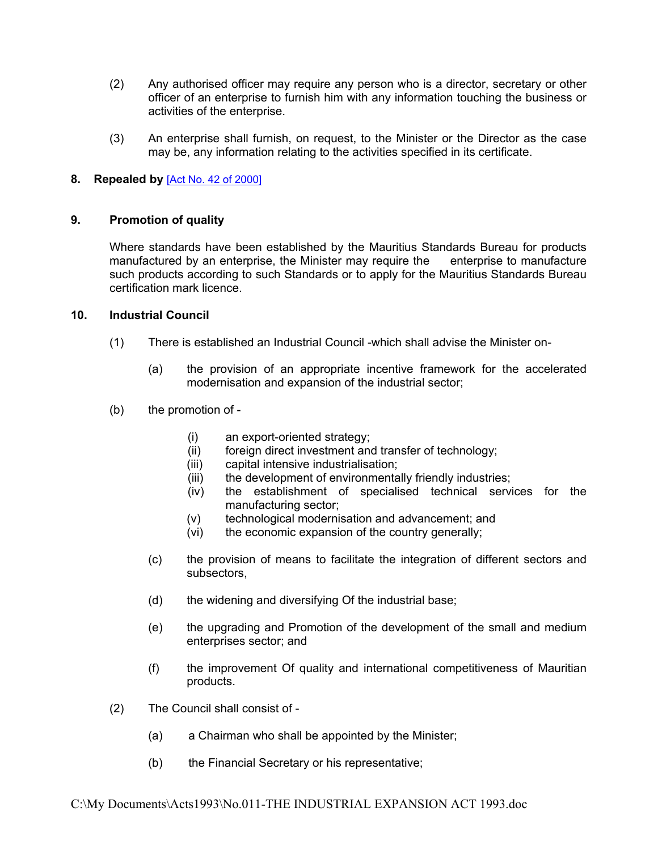- (2) Any authorised officer may require any person who is a director, secretary or other officer of an enterprise to furnish him with any information touching the business or activities of the enterprise.
- (3) An enterprise shall furnish, on request, to the Minister or the Director as the case may be, any information relating to the activities specified in its certificate.

### **8. Repealed by** [Act No. 42 of [2000\]](https://supremecourt.govmu.org/_layouts/CLIS.DMS/search/searchdocumentbykey.aspx?ID=%5BAct%20No.%2042%20of%202000%5D&list=Legislations)

#### **9. Promotion of quality**

<span id="page-5-0"></span>Where standards have been established by the Mauritius Standards Bureau for products manufactured by an enterprise, the Minister may require the enterprise to manufacture such products according to such Standards or to apply for the Mauritius Standards Bureau certification mark licence.

#### **10. Industrial Council**

- <span id="page-5-1"></span>(1) There is established an Industrial Council -which shall advise the Minister on-
	- (a) the provision of an appropriate incentive framework for the accelerated modernisation and expansion of the industrial sector;
- (b) the promotion of
	- (i) an export-oriented strategy;
	- (ii) foreign direct investment and transfer of technology;
	- (iii) capital intensive industrialisation;
	- (iii) the development of environmentally friendly industries;
	- (iv) the establishment of specialised technical services for the manufacturing sector;
	- (v) technological modernisation and advancement; and
	- (vi) the economic expansion of the country generally;
	- (c) the provision of means to facilitate the integration of different sectors and subsectors,
	- (d) the widening and diversifying Of the industrial base;
	- (e) the upgrading and Promotion of the development of the small and medium enterprises sector; and
	- (f) the improvement Of quality and international competitiveness of Mauritian products.
- (2) The Council shall consist of
	- (a) a Chairman who shall be appointed by the Minister;
	- (b) the Financial Secretary or his representative;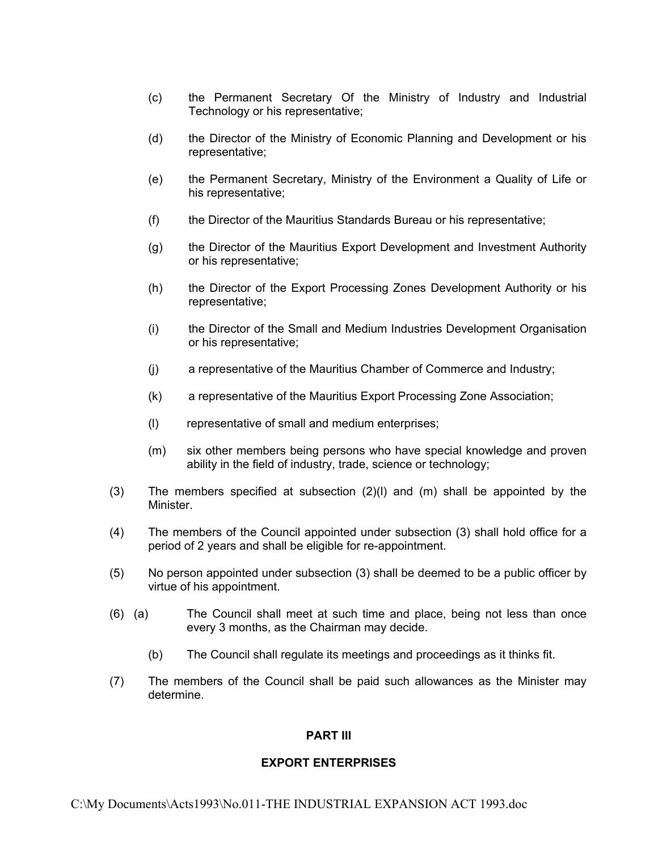- (c) the Permanent Secretary Of the Ministry of Industry and Industrial Technology or his representative;
- (d) the Director of the Ministry of Economic Planning and Development or his representative;
- (e) the Permanent Secretary, Ministry of the Environment a Quality of Life or his representative;
- (f) the Director of the Mauritius Standards Bureau or his representative;
- (g) the Director of the Mauritius Export Development and Investment Authority or his representative;
- (h) the Director of the Export Processing Zones Development Authority or his representative;
- (i) the Director of the Small and Medium Industries Development Organisation or his representative;
- (j) a representative of the Mauritius Chamber of Commerce and Industry;
- (k) a representative of the Mauritius Export Processing Zone Association;
- (l) representative of small and medium enterprises;
- (m) six other members being persons who have special knowledge and proven ability in the field of industry, trade, science or technology;
- (3) The members specified at subsection (2)(l) and (m) shall be appointed by the Minister.
- (4) The members of the Council appointed under subsection (3) shall hold office for a period of 2 years and shall be eligible for re-appointment.
- (5) No person appointed under subsection (3) shall be deemed to be a public officer by virtue of his appointment.
- (6) (a) The Council shall meet at such time and place, being not less than once every 3 months, as the Chairman may decide.
	- (b) The Council shall regulate its meetings and proceedings as it thinks fit.
- (7) The members of the Council shall be paid such allowances as the Minister may determine.

### **PART III**

#### **EXPORT ENTERPRISES**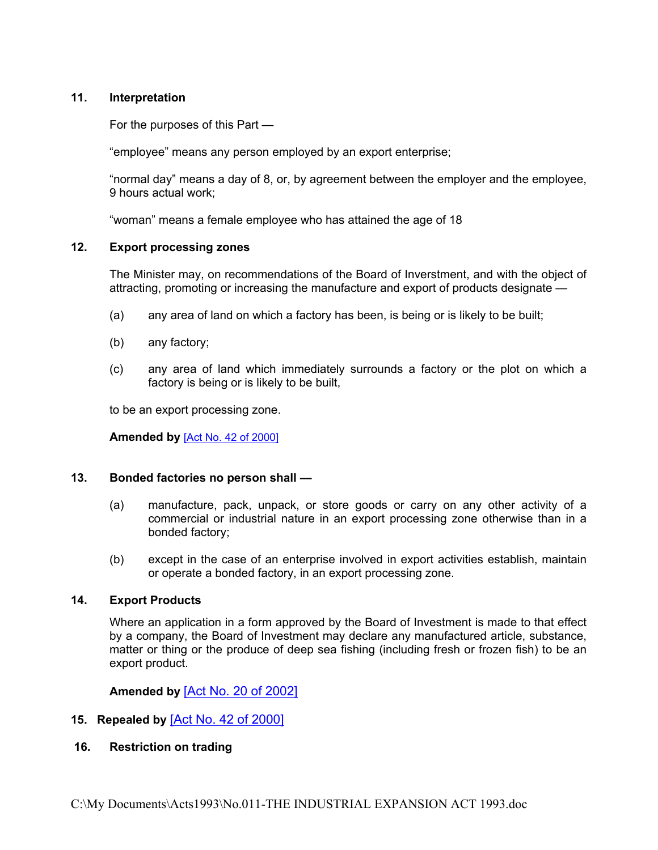### **11. Interpretation**

<span id="page-7-0"></span>For the purposes of this Part —

"employee" means any person employed by an export enterprise;

"normal day" means a day of 8, or, by agreement between the employer and the employee, 9 hours actual work;

<span id="page-7-1"></span>"woman" means a female employee who has attained the age of 18

#### **12. Export processing zones**

The Minister may, on recommendations of the Board of Inverstment, and with the object of attracting, promoting or increasing the manufacture and export of products designate —

- (a) any area of land on which a factory has been, is being or is likely to be built;
- (b) any factory;
- (c) any area of land which immediately surrounds a factory or the plot on which a factory is being or is likely to be built,

to be an export processing zone.

**Amended by** [Act No. 42 of [2000\]](https://supremecourt.govmu.org/_layouts/CLIS.DMS/search/searchdocumentbykey.aspx?ID=%5BAct%20No.%2042%20of%202000%5D&list=Legislations)

#### **13. Bonded factories no person shall —**

- <span id="page-7-2"></span>(a) manufacture, pack, unpack, or store goods or carry on any other activity of a commercial or industrial nature in an export processing zone otherwise than in a bonded factory;
- (b) except in the case of an enterprise involved in export activities establish, maintain or operate a bonded factory, in an export processing zone.

#### **14. Export Products**

Where an application in a form approved by the Board of Investment is made to that effect by a company, the Board of Investment may declare any manufactured article, substance, matter or thing or the produce of deep sea fishing (including fresh or frozen fish) to be an export product.

<span id="page-7-3"></span>**Amended by** [Act No. 20 of [2002\]](https://supremecourt.govmu.org/_layouts/CLIS.DMS/search/searchdocumentbykey.aspx?ID=%5BAct%20No.%2020%20of%202002%5D&list=Legislations)

### **15. Repealed by** [Act No. 42 of [2000\]](https://supremecourt.govmu.org/_layouts/CLIS.DMS/search/searchdocumentbykey.aspx?ID=%5BAct%20No.%2042%20of%202000%5D&list=Legislations)

#### **16. Restriction on trading**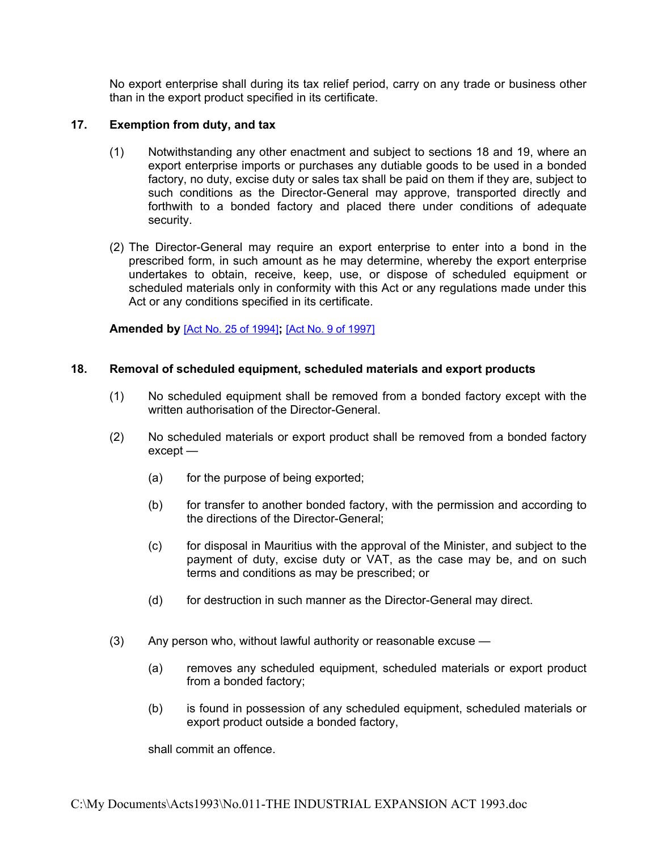No export enterprise shall during its tax relief period, carry on any trade or business other than in the export product specified in its certificate.

### **17. Exemption from duty, and tax**

- <span id="page-8-0"></span>(1) Notwithstanding any other enactment and subject to sections 18 and 19, where an export enterprise imports or purchases any dutiable goods to be used in a bonded factory, no duty, excise duty or sales tax shall be paid on them if they are, subject to such conditions as the Director-General may approve, transported directly and forthwith to a bonded factory and placed there under conditions of adequate security.
- (2) The Director-General may require an export enterprise to enter into a bond in the prescribed form, in such amount as he may determine, whereby the export enterprise undertakes to obtain, receive, keep, use, or dispose of scheduled equipment or scheduled materials only in conformity with this Act or any regulations made under this Act or any conditions specified in its certificate.

### **Amended by** [Act No. 25 of [1994\]](https://supremecourt.govmu.org/_layouts/CLIS.DMS/search/searchdocumentbykey.aspx?ID=%5BAct%20No.%2025%20of%201994%5D&list=Legislations)**;** [Act No. 9 of [1997\]](https://supremecourt.govmu.org/_layouts/CLIS.DMS/search/searchdocumentbykey.aspx?ID=%5BAct%20No.%209%20of%201997%5D&list=Legislations)

### **18. Removal of scheduled equipment, scheduled materials and export products**

- <span id="page-8-1"></span>(1) No scheduled equipment shall be removed from a bonded factory except with the written authorisation of the Director-General.
- (2) No scheduled materials or export product shall be removed from a bonded factory except —
	- (a) for the purpose of being exported;
	- (b) for transfer to another bonded factory, with the permission and according to the directions of the Director-General;
	- (c) for disposal in Mauritius with the approval of the Minister, and subject to the payment of duty, excise duty or VAT, as the case may be, and on such terms and conditions as may be prescribed; or
	- (d) for destruction in such manner as the Director-General may direct.
- (3) Any person who, without lawful authority or reasonable excuse
	- (a) removes any scheduled equipment, scheduled materials or export product from a bonded factory;
	- (b) is found in possession of any scheduled equipment, scheduled materials or export product outside a bonded factory,

shall commit an offence.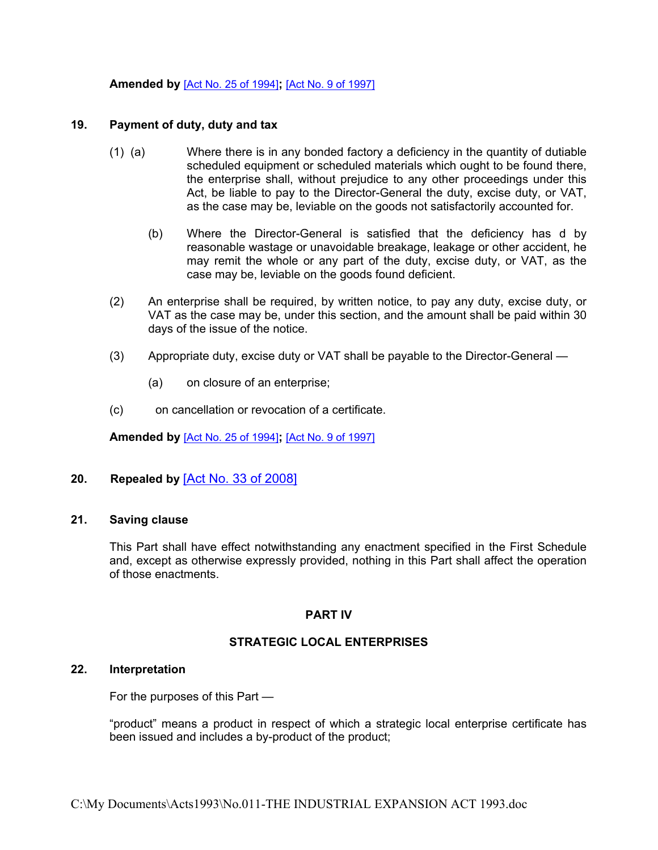#### **Amended by** [Act No. 25 of [1994\]](https://supremecourt.govmu.org/_layouts/CLIS.DMS/search/searchdocumentbykey.aspx?ID=%5BAct%20No.%2025%20of%201994%5D&list=Legislations)**;** [Act No. 9 of [1997\]](https://supremecourt.govmu.org/_layouts/CLIS.DMS/search/searchdocumentbykey.aspx?ID=%5BAct%20No.%209%20of%201997%5D&list=Legislations)

#### **19. Payment of duty, duty and tax**

- <span id="page-9-0"></span>(1) (a) Where there is in any bonded factory a deficiency in the quantity of dutiable scheduled equipment or scheduled materials which ought to be found there, the enterprise shall, without prejudice to any other proceedings under this Act, be liable to pay to the Director-General the duty, excise duty, or VAT, as the case may be, leviable on the goods not satisfactorily accounted for.
	- (b) Where the Director-General is satisfied that the deficiency has d by reasonable wastage or unavoidable breakage, leakage or other accident, he may remit the whole or any part of the duty, excise duty, or VAT, as the case may be, leviable on the goods found deficient.
- (2) An enterprise shall be required, by written notice, to pay any duty, excise duty, or VAT as the case may be, under this section, and the amount shall be paid within 30 days of the issue of the notice.
- (3) Appropriate duty, excise duty or VAT shall be payable to the Director-General
	- (a) on closure of an enterprise;
- (c) on cancellation or revocation of a certificate.

**Amended by** [Act No. 25 of [1994\]](https://supremecourt.govmu.org/_layouts/CLIS.DMS/search/searchdocumentbykey.aspx?ID=%5BAct%20No.%2025%20of%201994%5D&list=Legislations)**;** [Act No. 9 of [1997\]](https://supremecourt.govmu.org/_layouts/CLIS.DMS/search/searchdocumentbykey.aspx?ID=%5BAct%20No.%209%20of%201997%5D&list=Legislations)

### **20. Repealed by** [Act No. 33 of [2008\]](https://supremecourt.govmu.org/_layouts/CLIS.DMS/search/searchdocumentbykey.aspx?ID=%5BAct%20No.%2033%20of%202008%5D&list=Legislations)

#### **21. Saving clause**

<span id="page-9-1"></span>This Part shall have effect notwithstanding any enactment specified in the First Schedule and, except as otherwise expressly provided, nothing in this Part shall affect the operation of those enactments.

#### **PART IV**

#### **STRATEGIC LOCAL ENTERPRISES**

#### **22. Interpretation**

<span id="page-9-2"></span>For the purposes of this Part —

"product" means a product in respect of which a strategic local enterprise certificate has been issued and includes a by-product of the product;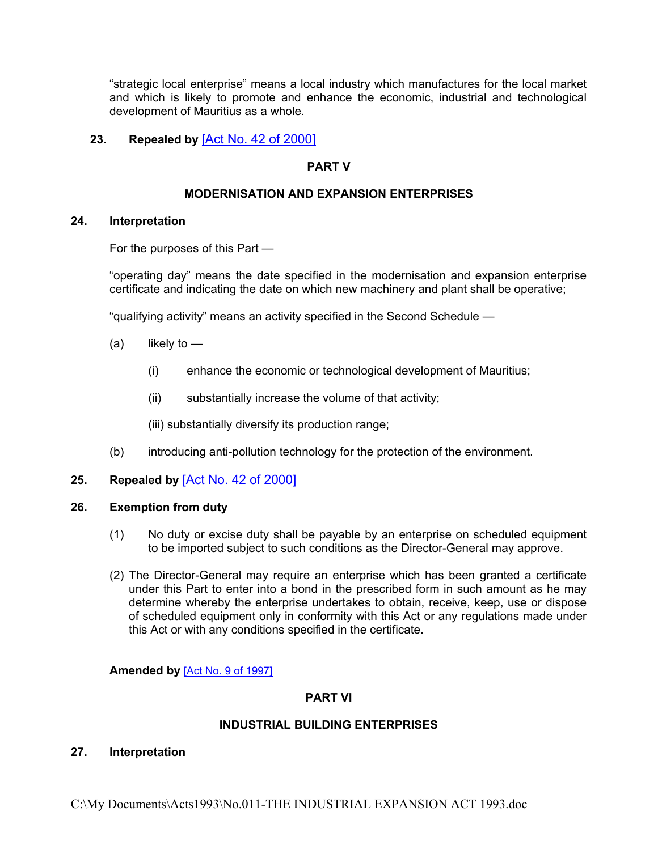"strategic local enterprise" means a local industry which manufactures for the local market and which is likely to promote and enhance the economic, industrial and technological development of Mauritius as a whole.

### **23. Repealed by** [Act No. 42 of [2000\]](https://supremecourt.govmu.org/_layouts/CLIS.DMS/search/searchdocumentbykey.aspx?ID=%5BAct%20No.%2042%20of%202000%5D&list=Legislations)

## **PART V**

### **MODERNISATION AND EXPANSION ENTERPRISES**

#### **24. Interpretation**

<span id="page-10-0"></span>For the purposes of this Part —

"operating day" means the date specified in the modernisation and expansion enterprise certificate and indicating the date on which new machinery and plant shall be operative;

"qualifying activity" means an activity specified in the Second Schedule —

- $(a)$  likely to
	- (i) enhance the economic or technological development of Mauritius;
	- (ii) substantially increase the volume of that activity;

(iii) substantially diversify its production range;

(b) introducing anti-pollution technology for the protection of the environment.

### **25. Repealed by** [Act No. 42 of [2000\]](https://supremecourt.govmu.org/_layouts/CLIS.DMS/search/searchdocumentbykey.aspx?ID=%5BAct%20No.%2042%20of%202000%5D&list=Legislations)

#### **26. Exemption from duty**

- <span id="page-10-1"></span>(1) No duty or excise duty shall be payable by an enterprise on scheduled equipment to be imported subject to such conditions as the Director-General may approve.
- (2) The Director-General may require an enterprise which has been granted a certificate under this Part to enter into a bond in the prescribed form in such amount as he may determine whereby the enterprise undertakes to obtain, receive, keep, use or dispose of scheduled equipment only in conformity with this Act or any regulations made under this Act or with any conditions specified in the certificate.

#### **Amended by** [Act No. 9 of [1997\]](https://supremecourt.govmu.org/_layouts/CLIS.DMS/search/searchdocumentbykey.aspx?ID=%5BAct%20No.%209%20of%201997%5D&list=Legislations)

#### **PART VI**

### **INDUSTRIAL BUILDING ENTERPRISES**

#### <span id="page-10-2"></span>**27. Interpretation**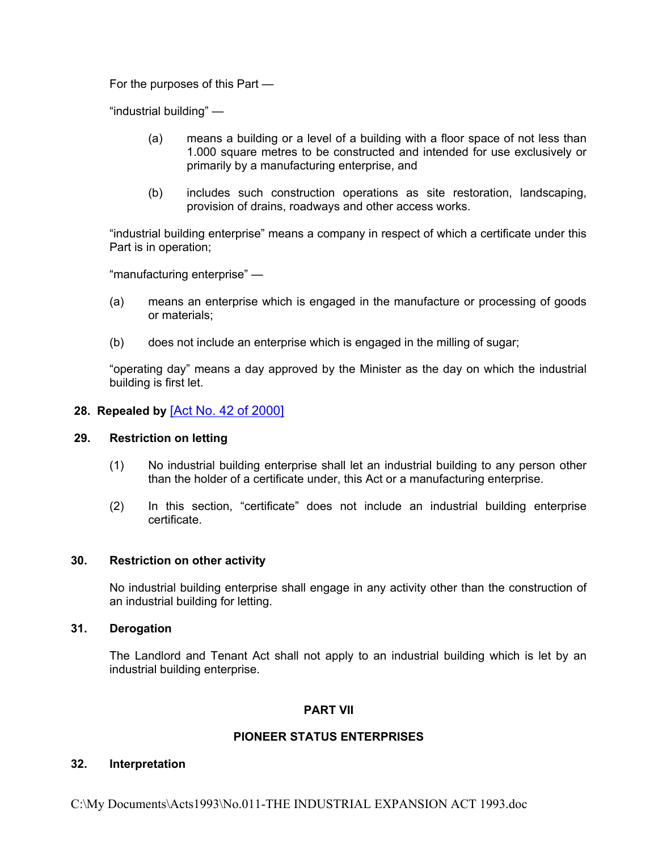For the purposes of this Part —

"industrial building" —

- (a) means a building or a level of a building with a floor space of not less than 1.000 square metres to be constructed and intended for use exclusively or primarily by a manufacturing enterprise, and
- (b) includes such construction operations as site restoration, landscaping, provision of drains, roadways and other access works.

"industrial building enterprise" means a company in respect of which a certificate under this Part is in operation;

"manufacturing enterprise" —

- (a) means an enterprise which is engaged in the manufacture or processing of goods or materials;
- (b) does not include an enterprise which is engaged in the milling of sugar;

"operating day" means a day approved by the Minister as the day on which the industrial building is first let.

#### **28. Repealed by** [Act No. 42 of [2000\]](https://supremecourt.govmu.org/_layouts/CLIS.DMS/search/searchdocumentbykey.aspx?ID=%5BAct%20No.%2042%20of%202000%5D&list=Legislations)

### **29. Restriction on letting**

- <span id="page-11-0"></span>(1) No industrial building enterprise shall let an industrial building to any person other than the holder of a certificate under, this Act or a manufacturing enterprise.
- (2) In this section, "certificate" does not include an industrial building enterprise certificate.

### **30. Restriction on other activity**

<span id="page-11-1"></span>No industrial building enterprise shall engage in any activity other than the construction of an industrial building for letting.

#### **31. Derogation**

<span id="page-11-2"></span>The Landlord and Tenant Act shall not apply to an industrial building which is let by an industrial building enterprise.

### **PART VII**

### **PIONEER STATUS ENTERPRISES**

### <span id="page-11-3"></span>**32. Interpretation**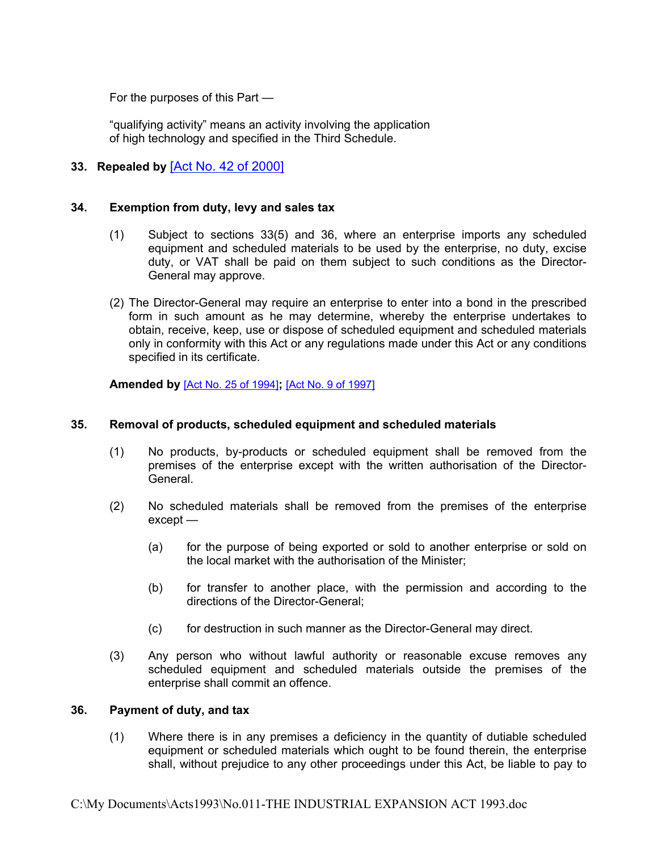For the purposes of this Part —

"qualifying activity" means an activity involving the application of high technology and specified in the Third Schedule.

# **33. Repealed by** [Act No. 42 of [2000\]](https://supremecourt.govmu.org/_layouts/CLIS.DMS/search/searchdocumentbykey.aspx?ID=%5BAct%20No.%2042%20of%202000%5D&list=Legislations)

#### **34. Exemption from duty, levy and sales tax**

- <span id="page-12-0"></span>(1) Subject to sections 33(5) and 36, where an enterprise imports any scheduled equipment and scheduled materials to be used by the enterprise, no duty, excise duty, or VAT shall be paid on them subject to such conditions as the Director-General may approve.
- (2) The Director-General may require an enterprise to enter into a bond in the prescribed form in such amount as he may determine, whereby the enterprise undertakes to obtain, receive, keep, use or dispose of scheduled equipment and scheduled materials only in conformity with this Act or any regulations made under this Act or any conditions specified in its certificate.

**Amended by** [Act No. 25 of [1994\]](https://supremecourt.govmu.org/_layouts/CLIS.DMS/search/searchdocumentbykey.aspx?ID=%5BAct%20No.%2025%20of%201994%5D&list=Legislations)**;** [Act No. 9 of [1997\]](https://supremecourt.govmu.org/_layouts/CLIS.DMS/search/searchdocumentbykey.aspx?ID=%5BAct%20No.%209%20of%201997%5D&list=Legislations)

### **35. Removal of products, scheduled equipment and scheduled materials**

- <span id="page-12-1"></span>(1) No products, by-products or scheduled equipment shall be removed from the premises of the enterprise except with the written authorisation of the Director-**General**
- (2) No scheduled materials shall be removed from the premises of the enterprise except —
	- (a) for the purpose of being exported or sold to another enterprise or sold on the local market with the authorisation of the Minister;
	- (b) for transfer to another place, with the permission and according to the directions of the Director-General;
	- (c) for destruction in such manner as the Director-General may direct.
- (3) Any person who without lawful authority or reasonable excuse removes any scheduled equipment and scheduled materials outside the premises of the enterprise shall commit an offence.

#### **36. Payment of duty, and tax**

<span id="page-12-2"></span>(1) Where there is in any premises a deficiency in the quantity of dutiable scheduled equipment or scheduled materials which ought to be found therein, the enterprise shall, without prejudice to any other proceedings under this Act, be liable to pay to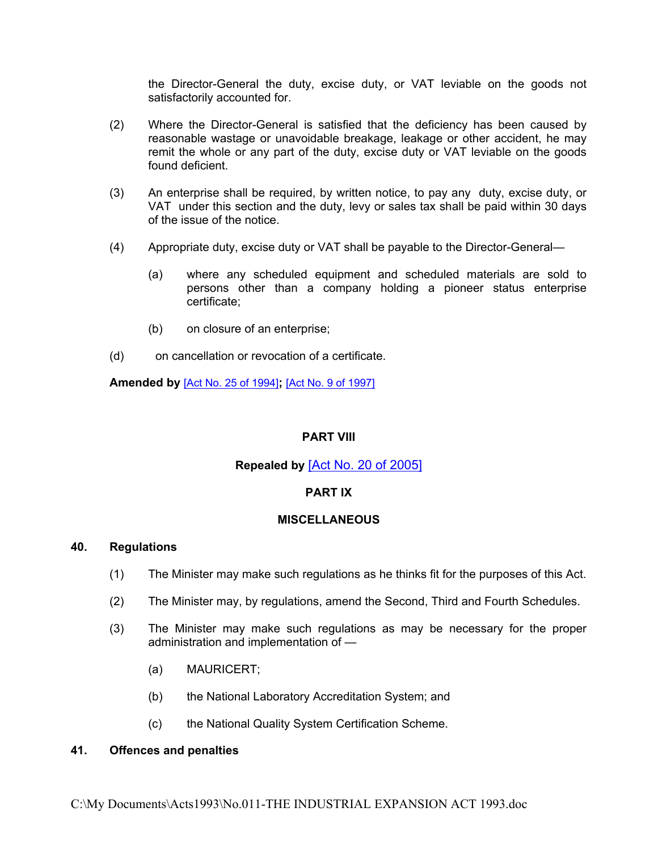the Director-General the duty, excise duty, or VAT leviable on the goods not satisfactorily accounted for.

- (2) Where the Director-General is satisfied that the deficiency has been caused by reasonable wastage or unavoidable breakage, leakage or other accident, he may remit the whole or any part of the duty, excise duty or VAT leviable on the goods found deficient.
- (3) An enterprise shall be required, by written notice, to pay any duty, excise duty, or VAT under this section and the duty, levy or sales tax shall be paid within 30 days of the issue of the notice.
- (4) Appropriate duty, excise duty or VAT shall be payable to the Director-General—
	- (a) where any scheduled equipment and scheduled materials are sold to persons other than a company holding a pioneer status enterprise certificate;
	- (b) on closure of an enterprise;
- (d) on cancellation or revocation of a certificate.

**Amended by** [Act No. 25 of [1994\]](https://supremecourt.govmu.org/_layouts/CLIS.DMS/search/searchdocumentbykey.aspx?ID=%5BAct%20No.%2025%20of%201994%5D&list=Legislations)**;** [Act No. 9 of [1997\]](https://supremecourt.govmu.org/_layouts/CLIS.DMS/search/searchdocumentbykey.aspx?ID=%5BAct%20No.%209%20of%201997%5D&list=Legislations)

### **PART VIII**

# **Repealed by** [Act No. 20 of [2005\]](https://supremecourt.govmu.org/_layouts/CLIS.DMS/search/searchdocumentbykey.aspx?ID=%5BAct%20No.%2020%20of%202005%5D&list=Legislations)

### **PART IX**

### **MISCELLANEOUS**

#### **40. Regulations**

- <span id="page-13-0"></span>(1) The Minister may make such regulations as he thinks fit for the purposes of this Act.
- (2) The Minister may, by regulations, amend the Second, Third and Fourth Schedules.
- (3) The Minister may make such regulations as may be necessary for the proper administration and implementation of —
	- (a) MAURICERT;
	- (b) the National Laboratory Accreditation System; and
	- (c) the National Quality System Certification Scheme.

#### <span id="page-13-1"></span>**41. Offences and penalties**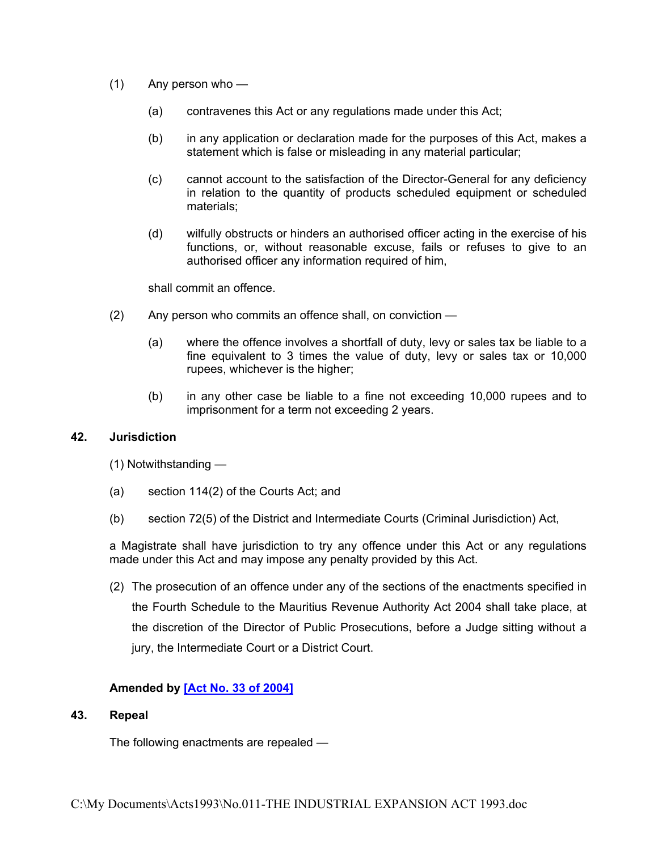- (1) Any person who
	- (a) contravenes this Act or any regulations made under this Act;
	- (b) in any application or declaration made for the purposes of this Act, makes a statement which is false or misleading in any material particular;
	- (c) cannot account to the satisfaction of the Director-General for any deficiency in relation to the quantity of products scheduled equipment or scheduled materials;
	- (d) wilfully obstructs or hinders an authorised officer acting in the exercise of his functions, or, without reasonable excuse, fails or refuses to give to an authorised officer any information required of him,

shall commit an offence.

- (2) Any person who commits an offence shall, on conviction
	- (a) where the offence involves a shortfall of duty, levy or sales tax be liable to a fine equivalent to 3 times the value of duty, levy or sales tax or 10,000 rupees, whichever is the higher;
	- (b) in any other case be liable to a fine not exceeding 10,000 rupees and to imprisonment for a term not exceeding 2 years.

#### **42. Jurisdiction**

<span id="page-14-0"></span>(1) Notwithstanding —

- (a) section 114(2) of the Courts Act; and
- (b) section 72(5) of the District and Intermediate Courts (Criminal Jurisdiction) Act,

a Magistrate shall have jurisdiction to try any offence under this Act or any regulations made under this Act and may impose any penalty provided by this Act.

(2) The prosecution of an offence under any of the sections of the enactments specified in the Fourth Schedule to the Mauritius Revenue Authority Act 2004 shall take place, at the discretion of the Director of Public Prosecutions, before a Judge sitting without a jury, the Intermediate Court or a District Court.

### <span id="page-14-1"></span>**Amended by [Act No. 33 of [2004\]](https://supremecourt.govmu.org/_layouts/CLIS.DMS/search/searchdocumentbykey.aspx?ID=%5BAct%20No.%2033%20of%202004%5D&list=Legislations)**

#### **43. Repeal**

The following enactments are repealed —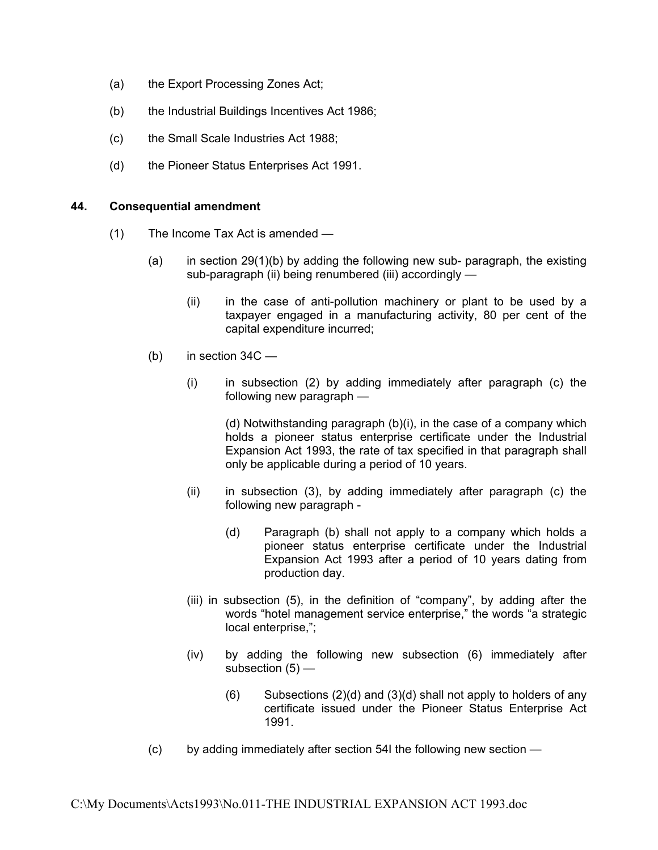- (a) the Export Processing Zones Act;
- (b) the Industrial Buildings Incentives Act 1986;
- (c) the Small Scale Industries Act 1988;
- (d) the Pioneer Status Enterprises Act 1991.

#### **44. Consequential amendment**

- <span id="page-15-0"></span>(1) The Income Tax Act is amended —
	- (a) in section  $29(1)(b)$  by adding the following new sub- paragraph, the existing sub-paragraph (ii) being renumbered (iii) accordingly —
		- (ii) in the case of anti-pollution machinery or plant to be used by a taxpayer engaged in a manufacturing activity, 80 per cent of the capital expenditure incurred;
	- $(b)$  in section 34C
		- (i) in subsection (2) by adding immediately after paragraph (c) the following new paragraph —

(d) Notwithstanding paragraph (b)(i), in the case of a company which holds a pioneer status enterprise certificate under the Industrial Expansion Act 1993, the rate of tax specified in that paragraph shall only be applicable during a period of 10 years.

- (ii) in subsection (3), by adding immediately after paragraph (c) the following new paragraph -
	- (d) Paragraph (b) shall not apply to a company which holds a pioneer status enterprise certificate under the Industrial Expansion Act 1993 after a period of 10 years dating from production day.
- (iii) in subsection (5), in the definition of "company", by adding after the words "hotel management service enterprise," the words "a strategic local enterprise,":
- (iv) by adding the following new subsection (6) immediately after subsection  $(5)$  —
	- $(6)$  Subsections  $(2)(d)$  and  $(3)(d)$  shall not apply to holders of any certificate issued under the Pioneer Status Enterprise Act 1991.
- (c) by adding immediately after section 54I the following new section —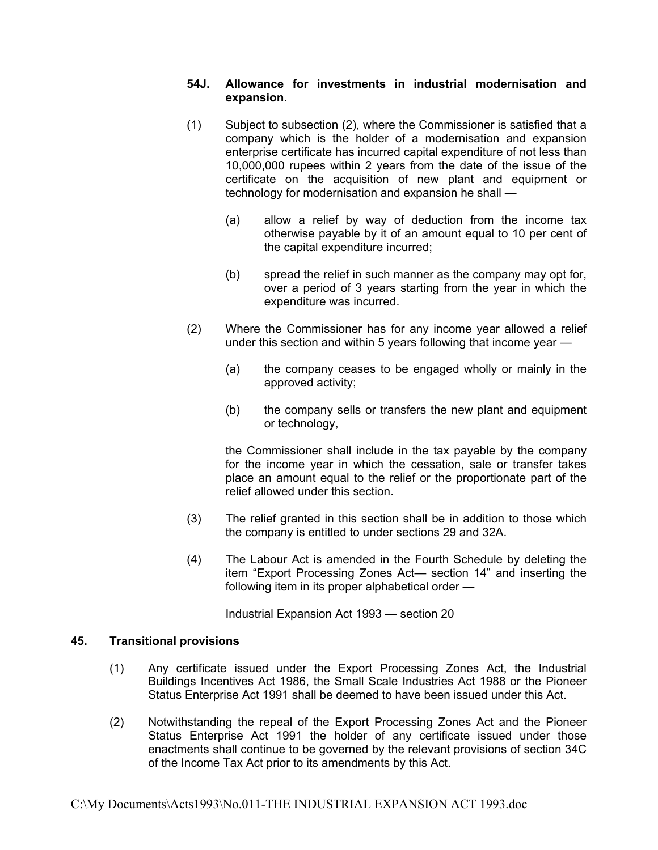### **54J. Allowance for investments in industrial modernisation and expansion.**

- (1) Subject to subsection (2), where the Commissioner is satisfied that a company which is the holder of a modernisation and expansion enterprise certificate has incurred capital expenditure of not less than 10,000,000 rupees within 2 years from the date of the issue of the certificate on the acquisition of new plant and equipment or technology for modernisation and expansion he shall —
	- (a) allow a relief by way of deduction from the income tax otherwise payable by it of an amount equal to 10 per cent of the capital expenditure incurred;
	- (b) spread the relief in such manner as the company may opt for, over a period of 3 years starting from the year in which the expenditure was incurred.
- (2) Where the Commissioner has for any income year allowed a relief under this section and within 5 years following that income year —
	- (a) the company ceases to be engaged wholly or mainly in the approved activity;
	- (b) the company sells or transfers the new plant and equipment or technology,

the Commissioner shall include in the tax payable by the company for the income year in which the cessation, sale or transfer takes place an amount equal to the relief or the proportionate part of the relief allowed under this section.

- (3) The relief granted in this section shall be in addition to those which the company is entitled to under sections 29 and 32A.
- (4) The Labour Act is amended in the Fourth Schedule by deleting the item "Export Processing Zones Act— section 14" and inserting the following item in its proper alphabetical order —

Industrial Expansion Act 1993 — section 20

### **45. Transitional provisions**

- <span id="page-16-0"></span>(1) Any certificate issued under the Export Processing Zones Act, the Industrial Buildings Incentives Act 1986, the Small Scale Industries Act 1988 or the Pioneer Status Enterprise Act 1991 shall be deemed to have been issued under this Act.
- (2) Notwithstanding the repeal of the Export Processing Zones Act and the Pioneer Status Enterprise Act 1991 the holder of any certificate issued under those enactments shall continue to be governed by the relevant provisions of section 34C of the Income Tax Act prior to its amendments by this Act.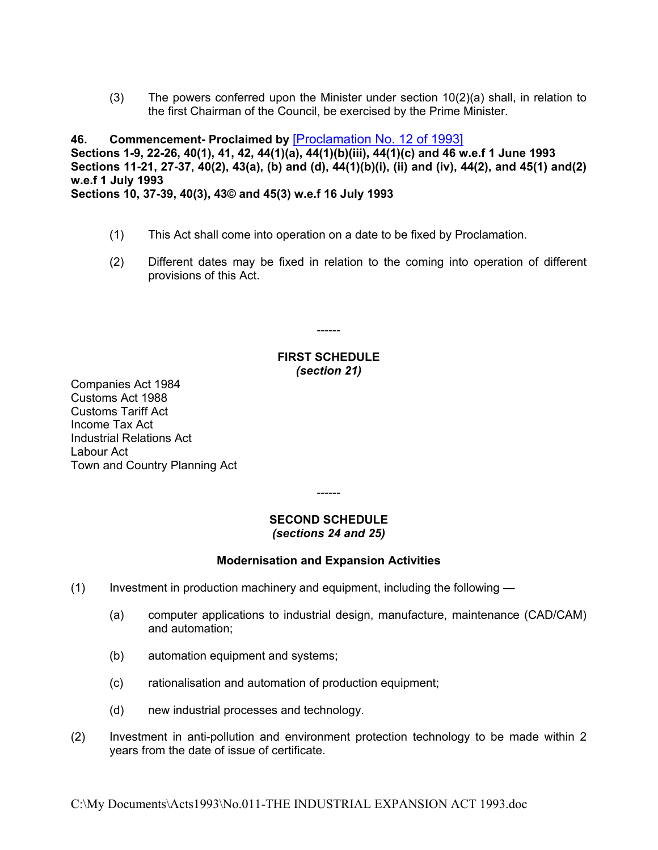<span id="page-17-0"></span>(3) The powers conferred upon the Minister under section 10(2)(a) shall, in relation to the first Chairman of the Council, be exercised by the Prime Minister.

**46. Commencement- Proclaimed by** [\[Proclamation](https://supremecourt.govmu.org/_layouts/CLIS.DMS/search/searchdocumentbykey.aspx?ID=%5BProclamation%20No.%2012%20of%201993%5D&list=Legislations) No. 12 of 1993] **Sections 1-9, 22-26, 40(1), 41, 42, 44(1)(a), 44(1)(b)(iii), 44(1)(c) and 46 w.e.f 1 June 1993 Sections 11-21, 27-37, 40(2), 43(a), (b) and (d), 44(1)(b)(i), (ii) and (iv), 44(2), and 45(1) and(2) w.e.f 1 July 1993 Sections 10, 37-39, 40(3), 43© and 45(3) w.e.f 16 July 1993**

- (1) This Act shall come into operation on a date to be fixed by Proclamation.
- (2) Different dates may be fixed in relation to the coming into operation of different provisions of this Act.

------

#### <span id="page-17-1"></span>**FIRST SCHEDULE** *(section 21)*

Companies Act 1984 Customs Act 1988 Customs Tariff Act Income Tax Act Industrial Relations Act Labour Act Town and Country Planning Act

------

### <span id="page-17-2"></span>**SECOND SCHEDULE** *(sections 24 and 25)*

# **Modernisation and Expansion Activities**

- (1) Investment in production machinery and equipment, including the following
	- (a) computer applications to industrial design, manufacture, maintenance (CAD/CAM) and automation;
	- (b) automation equipment and systems;
	- (c) rationalisation and automation of production equipment;
	- (d) new industrial processes and technology.
- (2) Investment in anti-pollution and environment protection technology to be made within 2 years from the date of issue of certificate.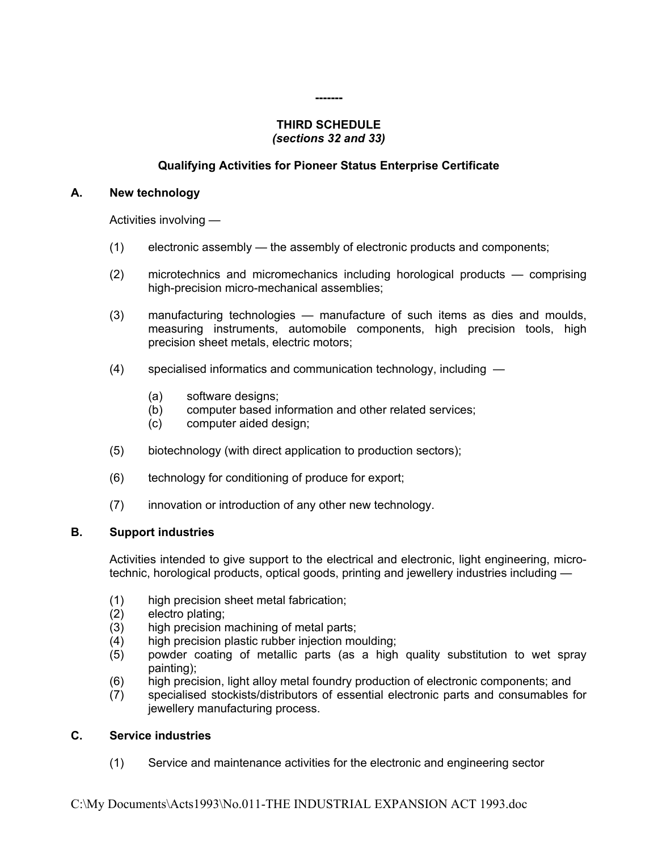#### **-------**

#### <span id="page-18-0"></span>**THIRD SCHEDULE** *(sections 32 and 33)*

### **Qualifying Activities for Pioneer Status Enterprise Certificate**

#### **A. New technology**

Activities involving —

- (1) electronic assembly the assembly of electronic products and components;
- (2) microtechnics and micromechanics including horological products comprising high-precision micro-mechanical assemblies;
- (3) manufacturing technologies manufacture of such items as dies and moulds, measuring instruments, automobile components, high precision tools, high precision sheet metals, electric motors;
- (4) specialised informatics and communication technology, including
	- (a) software designs;
	- (b) computer based information and other related services;
	- (c) computer aided design;
- (5) biotechnology (with direct application to production sectors);
- (6) technology for conditioning of produce for export;
- (7) innovation or introduction of any other new technology.

### **B. Support industries**

Activities intended to give support to the electrical and electronic, light engineering, microtechnic, horological products, optical goods, printing and jewellery industries including —

- (1) high precision sheet metal fabrication;
- (2) electro plating;
- (3) high precision machining of metal parts;
- (4) high precision plastic rubber injection moulding;
- (5) powder coating of metallic parts (as a high quality substitution to wet spray painting);
- (6) high precision, light alloy metal foundry production of electronic components; and
- (7) specialised stockists/distributors of essential electronic parts and consumables for jewellery manufacturing process.

### **C. Service industries**

(1) Service and maintenance activities for the electronic and engineering sector